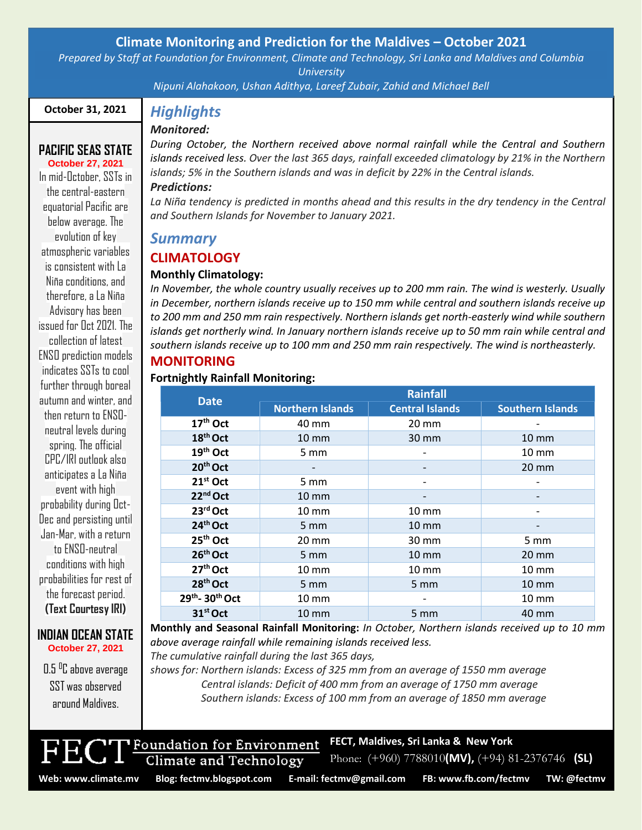# **Climate Monitoring and Prediction for the Maldives – October 2021**

*Prepared by Staff at Foundation for Environment, Climate and Technology, Sri Lanka and Maldives and Columbia University*

*Nipuni Alahakoon, Ushan Adithya, Lareef Zubair, Zahid and Michael Bell*

#### **October 31, 2021**

**PACIFIC SEAS STATE October 27, 2021** In mid-October, SSTs in the central-eastern equatorial Pacific are below average. The evolution of key atmospheric variables is consistent with La Niña conditions, and therefore, a La Niña Advisory has been issued for Oct 2021. The collection of latest ENSO prediction models indicates SSTs to cool further through boreal autumn and winter, and then return to ENSOneutral levels during spring. The official CPC/IRI outlook also anticipates a La Niña event with high probability during Oct-Dec and persisting until Jan-Mar, with a return to ENSO-neutral conditions with high probabilities for rest of the forecast period. **(Text Courtesy IRI)**

# *Monitored:*

*Highlights*

*During October, the Northern received above normal rainfall while the Central and Southern islands received less. Over the last 365 days, rainfall exceeded climatology by 21% in the Northern islands; 5% in the Southern islands and was in deficit by 22% in the Central islands. Predictions:* 

La Niña *tendency is predicted in months ahead and this results in the dry tendency in the Central and Southern Islands for November to January 2021.*

# *Summary*

# **CLIMATOLOGY**

#### **Monthly Climatology:**

*In November, the whole country usually receives up to 200 mm rain. The wind is westerly. Usually in December, northern islands receive up to 150 mm while central and southern islands receive up to 200 mm and 250 mm rain respectively. Northern islands get north-easterly wind while southern islands get northerly wind. In January northern islands receive up to 50 mm rain while central and southern islands receive up to 100 mm and 250 mm rain respectively. The wind is northeasterly.*

# **MONITORING**

#### **Fortnightly Rainfall Monitoring:**

| <b>Date</b>          | Rainfall                |                        |                         |
|----------------------|-------------------------|------------------------|-------------------------|
|                      | <b>Northern Islands</b> | <b>Central Islands</b> | <b>Southern Islands</b> |
| 17 <sup>th</sup> Oct | 40 mm                   | $20 \text{ mm}$        |                         |
| 18 <sup>th</sup> Oct | <b>10 mm</b>            | $30 \text{ mm}$        | $10 \text{ mm}$         |
| 19 <sup>th</sup> Oct | $5 \, \text{mm}$        |                        | $10 \text{ mm}$         |
| 20 <sup>th</sup> Oct |                         |                        | $20 \text{ mm}$         |
| $21st$ Oct           | $5 \text{ mm}$          |                        |                         |
| 22 <sup>nd</sup> Oct | $10 \, \text{mm}$       |                        |                         |
| 23rd Oct             | $10 \text{ mm}$         | $10 \text{ mm}$        |                         |
| 24 <sup>th</sup> Oct | $5 \, \text{mm}$        | $10 \text{ mm}$        |                         |
| 25 <sup>th</sup> Oct | $20 \, \text{mm}$       | 30 mm                  | $5 \, \text{mm}$        |
| 26 <sup>th</sup> Oct | $5 \, \text{mm}$        | $10 \text{ mm}$        | $20 \text{ mm}$         |
| 27 <sup>th</sup> Oct | 10 mm                   | $10 \text{ mm}$        | 10 mm                   |
| 28 <sup>th</sup> Oct | $5 \, \text{mm}$        | $5 \, \text{mm}$       | $10 \, \text{mm}$       |
| 29th-30th Oct        | $10 \, \text{mm}$       |                        | $10 \, \text{mm}$       |
| 31 <sup>st</sup> Oct | $10 \text{ mm}$         | $5 \text{ mm}$         | 40 mm                   |

**Monthly and Seasonal Rainfall Monitoring:** *In October, Northern islands received up to 10 mm above average rainfall while remaining islands received less.*

*The cumulative rainfall during the last 365 days,*

*shows for: Northern islands: Excess of 325 mm from an average of 1550 mm average Central islands: Deficit of 400 mm from an average of 1750 mm average Southern islands: Excess of 100 mm from an average of 1850 mm average*



**INDIAN OCEAN STATE October 27, 2021**

0.5 <sup>o</sup>C above average

**FECT, Maldives, Sri Lanka & New York**

Foundation for Environment Climate and Technology

**Web: www.climate.mv Blog[: fectmv.blogspot.com](mailto:fectmv.blogspot.com) E-mail: [fectmv@gmail.com](mailto:fectmv@gmail.com) FB[: www.fb.com/fectmv](http://www.fb.com/fectmv) TW: @fectmv**

[.](http://www.tropicalclimate.org/maldives/)

Phone: (+960) 7788010**(MV),** (+94) 81-2376746 **(SL)**

Page